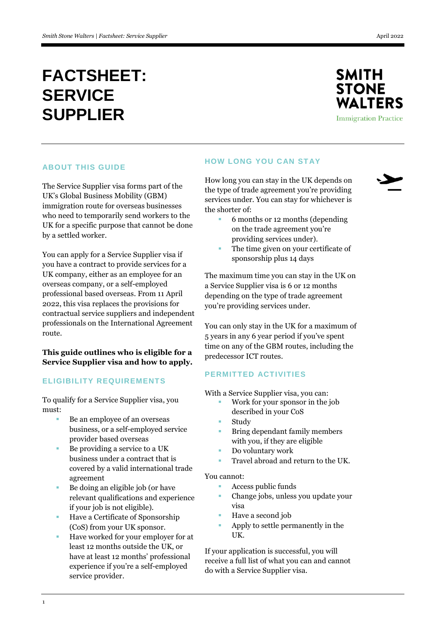

**Immigration Practice** 

# **ABOUT THIS GUIDE**

The Service Supplier visa forms part of the UK's Global Business Mobility (GBM) immigration route for overseas businesses who need to temporarily send workers to the UK for a specific purpose that cannot be done by a settled worker.

You can apply for a Service Supplier visa if you have a contract to provide services for a UK company, either as an employee for an overseas company, or a self-employed professional based overseas. From 11 April 2022, this visa replaces the provisions for contractual service suppliers and independent professionals on the International Agreement route.

# **This guide outlines who is eligible for a Service Supplier visa and how to apply.**

# **ELIGIBILITY REQUIREMENTS**

To qualify for a Service Supplier visa, you must:

- Be an employee of an overseas business, or a self-employed service provider based overseas
- $\blacksquare$  Be providing a service to a UK business under a contract that is covered by a valid international trade agreement
- Be doing an eligible job (or have relevant qualifications and experience if your job is not eligible).
- Have a Certificate of Sponsorship (CoS) from your UK sponsor.
- Have worked for your employer for at least 12 months outside the UK, or have at least 12 months' professional experience if you're a self-employed service provider.

# **HOW LONG YOU CAN STAY**

How long you can stay in the UK depends on the type of trade agreement you're providing services under. You can stay for whichever is the shorter of:

- 
- 6 months or 12 months (depending on the trade agreement you're providing services under).
- The time given on your certificate of sponsorship plus 14 days

The maximum time you can stay in the UK on a Service Supplier visa is 6 or 12 months depending on the type of trade agreement you're providing services under.

You can only stay in the UK for a maximum of 5 years in any 6 year period if you've spent time on any of the GBM routes, including the predecessor ICT routes.

# **PERMITTED ACTIVITIES**

With a Service Supplier visa, you can:

- Work for your sponsor in the job described in your CoS
- Study
- Bring dependant family members with you, if they are eligible
- Do voluntary work
- Travel abroad and return to the UK.

## You cannot:

- Access public funds
- Change jobs, unless you update your visa
- Have a second job
- Apply to settle permanently in the UK.

If your application is successful, you will receive a full list of what you can and cannot do with a Service Supplier visa.